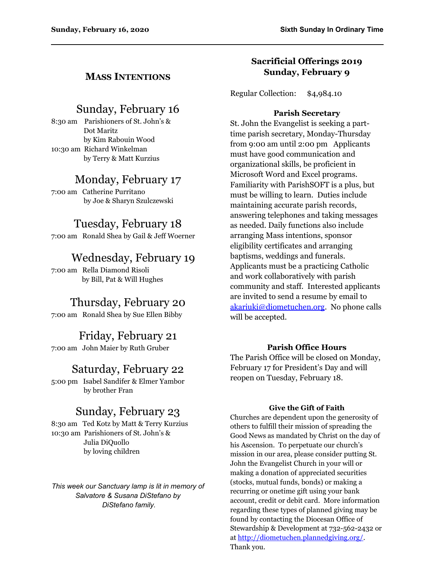### **MASS INTENTIONS**

# Sunday, February 16

8:30 am Parishioners of St. John's & Dot Maritz by Kim Rabouin Wood 10:30 am Richard Winkelman by Terry & Matt Kurzius

## Monday, February 17

7:00 am Catherine Purritano by Joe & Sharyn Szulczewski

## Tuesday, February 18

7:00 am Ronald Shea by Gail & Jeff Woerner

## Wednesday, February 19

7:00 am Rella Diamond Risoli by Bill, Pat & Will Hughes

# Thursday, February 20

7:00 am Ronald Shea by Sue Ellen Bibby

## Friday, February 21

7:00 am John Maier by Ruth Gruber

## Saturday, February 22

5:00 pm Isabel Sandifer & Elmer Yambor by brother Fran

# Sunday, February 23

8:30 am Ted Kotz by Matt & Terry Kurzius 10:30 am Parishioners of St. John's & Julia DiQuollo by loving children

*This week our Sanctuary lamp is lit in memory of Salvatore & Susana DiStefano by DiStefano family.*

### **Sacrificial Offerings 2019 Sunday, February 9**

Regular Collection: \$4,984.10

### **Parish Secretary**

St. John the Evangelist is seeking a parttime parish secretary, Monday-Thursday from 9:00 am until 2:00 pm Applicants must have good communication and organizational skills, be proficient in Microsoft Word and Excel programs. Familiarity with ParishSOFT is a plus, but must be willing to learn. Duties include maintaining accurate parish records, answering telephones and taking messages as needed. Daily functions also include arranging Mass intentions, sponsor eligibility certificates and arranging baptisms, weddings and funerals. Applicants must be a practicing Catholic and work collaboratively with parish community and staff. Interested applicants are invited to send a resume by email to [akariuki@diometuchen.org](mailto:akariuki@diometuchen.org). No phone calls will be accepted.

#### **Parish Office Hours**

The Parish Office will be closed on Monday, February 17 for President's Day and will reopen on Tuesday, February 18.

#### **Give the Gift of Faith**

Churches are dependent upon the generosity of others to fulfill their mission of spreading the Good News as mandated by Christ on the day of his Ascension. To perpetuate our church's mission in our area, please consider putting St. John the Evangelist Church in your will or making a donation of appreciated securities (stocks, mutual funds, bonds) or making a recurring or onetime gift using your bank account, credit or debit card. More information regarding these types of planned giving may be found by contacting the Diocesan Office of Stewardship & Development at 732-562-2432 or at [http://diometuchen.plannedgiving.org/.](http://diometuchen.plannedgiving.org/) Thank you.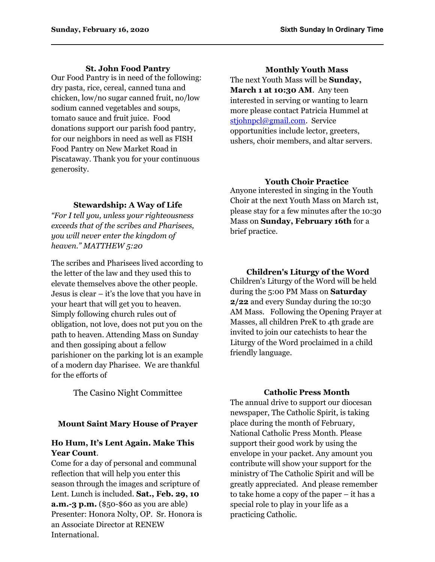#### **St. John Food Pantry**

Our Food Pantry is in need of the following: dry pasta, rice, cereal, canned tuna and chicken, low/no sugar canned fruit, no/low sodium canned vegetables and soups, tomato sauce and fruit juice. Food donations support our parish food pantry, for our neighbors in need as well as FISH Food Pantry on New Market Road in Piscataway. Thank you for your continuous generosity.

#### **Monthly Youth Mass**

The next Youth Mass will be **Sunday, March 1 at 10:30 AM**. Any teen interested in serving or wanting to learn more please contact Patricia Hummel at [stjohnpcl@gmail.com](mailto:stjohnpcl@gmail.com). Service opportunities include lector, greeters, ushers, choir members, and altar servers.

#### **Stewardship: A Way of Life**

*"For I tell you, unless your righteousness exceeds that of the scribes and Pharisees, you will never enter the kingdom of heaven." MATTHEW 5:20*

The scribes and Pharisees lived according to the letter of the law and they used this to elevate themselves above the other people. Jesus is clear – it's the love that you have in your heart that will get you to heaven. Simply following church rules out of obligation, not love, does not put you on the path to heaven. Attending Mass on Sunday and then gossiping about a fellow parishioner on the parking lot is an example of a modern day Pharisee. We are thankful for the efforts of

The Casino Night Committee

#### **Mount Saint Mary House of Prayer**

#### **Ho Hum, It's Lent Again. Make This Year Count**.

Come for a day of personal and communal reflection that will help you enter this season through the images and scripture of Lent. Lunch is included. **Sat., Feb. 29, 10 a.m.-3 p.m.** (\$50-\$60 as you are able) Presenter: Honora Nolty, OP. Sr. Honora is an Associate Director at RENEW International.

#### **Youth Choir Practice**

Anyone interested in singing in the Youth Choir at the next Youth Mass on March 1st, please stay for a few minutes after the 10:30 Mass on **Sunday, February 16th** for a brief practice.

#### **Children's Liturgy of the Word**

Children's Liturgy of the Word will be held during the 5:00 PM Mass on **Saturday 2/22** and every Sunday during the 10:30 AM Mass. Following the Opening Prayer at Masses, all children PreK to 4th grade are invited to join our catechists to hear the Liturgy of the Word proclaimed in a child friendly language.

#### **Catholic Press Month**

The annual drive to support our diocesan newspaper, The Catholic Spirit, is taking place during the month of February, National Catholic Press Month. Please support their good work by using the envelope in your packet. Any amount you contribute will show your support for the ministry of The Catholic Spirit and will be greatly appreciated. And please remember to take home a copy of the paper – it has a special role to play in your life as a practicing Catholic.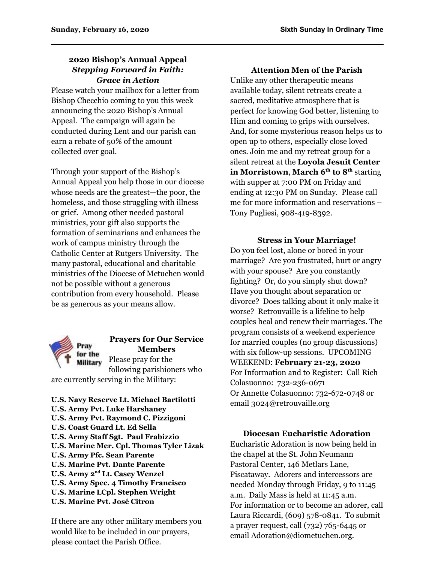### **2020 Bishop's Annual Appeal** *Stepping Forward in Faith: Grace in Action*

Please watch your mailbox for a letter from Bishop Checchio coming to you this week announcing the 2020 Bishop's Annual Appeal. The campaign will again be conducted during Lent and our parish can earn a rebate of 50% of the amount collected over goal.

Through your support of the Bishop's Annual Appeal you help those in our diocese whose needs are the greatest—the poor, the homeless, and those struggling with illness or grief. Among other needed pastoral ministries, your gift also supports the formation of seminarians and enhances the work of campus ministry through the Catholic Center at Rutgers University. The many pastoral, educational and charitable ministries of the Diocese of Metuchen would not be possible without a generous contribution from every household. Please be as generous as your means allow.



### **Prayers for Our Service Members** Please pray for the

following parishioners who are currently serving in the Military:

**U.S. Navy Reserve Lt. Michael Bartilotti U.S. Army Pvt. Luke Harshaney U.S. Army Pvt. Raymond C. Pizzigoni U.S. Coast Guard Lt. Ed Sella U.S. Army Staff Sgt. Paul Frabizzio U.S. Marine Mer. Cpl. Thomas Tyler Lizak U.S. Army Pfc. Sean Parente U.S. Marine Pvt. Dante Parente U.S. Army 2nd Lt. Casey Wenzel U.S. Army Spec. 4 Timothy Francisco U.S. Marine LCpl. Stephen Wright U.S. Marine Pvt. José Citron**

If there are any other military members you would like to be included in our prayers, please contact the Parish Office.

**Attention Men of the Parish**

Unlike any other therapeutic means available today, silent retreats create a sacred, meditative atmosphere that is perfect for knowing God better, listening to Him and coming to grips with ourselves. And, for some mysterious reason helps us to open up to others, especially close loved ones. Join me and my retreat group for a silent retreat at the **Loyola Jesuit Center in Morristown**, **March 6th to 8th** starting with supper at 7:00 PM on Friday and ending at 12:30 PM on Sunday. Please call me for more information and reservations – Tony Pugliesi, 908-419-8392.

**Stress in Your Marriage!**

Do you feel lost, alone or bored in your marriage? Are you frustrated, hurt or angry with your spouse? Are you constantly fighting? Or, do you simply shut down? Have you thought about separation or divorce? Does talking about it only make it worse? Retrouvaille is a lifeline to help couples heal and renew their marriages. The program consists of a weekend experience for married couples (no group discussions) with six follow-up sessions. UPCOMING WEEKEND: **February 21-23, 2020** For Information and to Register: Call Rich Colasuonno: 732-236-0671 Or Annette Colasuonno: 732-672-0748 or email 3024@retrouvaille.org

**Diocesan Eucharistic Adoration** Eucharistic Adoration is now being held in the chapel at the St. John Neumann Pastoral Center, 146 Metlars Lane, Piscataway. Adorers and intercessors are needed Monday through Friday, 9 to 11:45 a.m. Daily Mass is held at 11:45 a.m. For information or to become an adorer, call Laura Riccardi, (609) 578-0841. To submit a prayer request, call (732) 765-6445 or email Adoration@diometuchen.org.